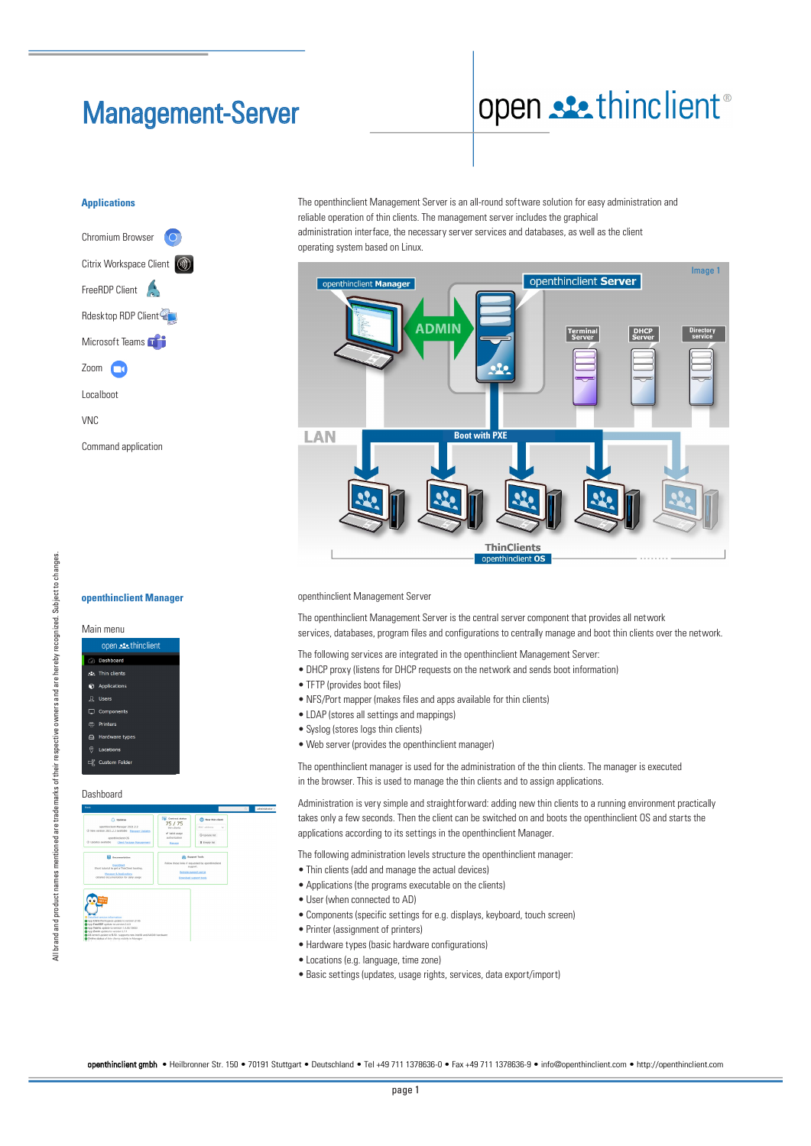# Management-Server

# open sethinclient®

## **Applications**



openthinclient Manager **openthinclient Manager**

open sethinclient Dashboard Applications

Main menu

Dasboard Dashboard

 $75/7!$ 

**B** Empty In

Custom Fold

 $\overline{C}$ 

The openthinclient Management Server is an all-round software solution for easy administration and reliable operation of thin clients. The management server includes the graphical administration interface, the necessary server services and databases, as well as the client



openthinclient Management Server openthinclient Management Server

The openthinclient Management Server is the central server component that provides all network services, databases, program files and configurations to centrally manage and boot thin clients over the network.

The following services are integrated in the openthinclient Management Server:

- DHCP proxy (listens for DHCP requests on the network and sends boot information)
- TFTP (provides boot files)
- NFS/Port mapper (makes files and apps available for thin clients)
- LDAP (stores all settings and mappings)
- Syslog (stores logs thin clients)
- Web server (provides the openthinclient manager)

The openthinclient manager is used for the administration of the thin clients. The manager is executed in the browser. This is used to manage the thin clients and to assign applications.

.<br>Administration is very simple and straightforward: adding new thin clients to a running environment practically takes only a few seconds. Then the client can be switched on and boots the openthinclient OS and starts the applications according to its settings in the openthinclient Manager.

The following administration levels structure the openthinclient manager:

- Thin clients (add and manage the actual devices)
- Applications (the programs executable on the clients)
- User (when connected to AD)
- Components (specific settings for e.g. displays, keyboard, touch screen)
- Printer (assignment of printers)
- Printer (assignment of printers)<br>• Hardware types (basic hardware configurations)
- Locations (e.g. language, time zone)
- Basic settings (updates, usage rights, services, data export/import)

openthinclient gmbh • Heilbronner Str. 150 • 70191 Stuttgart • Deutschland • Tel +49 711 1378636-0 • Fax +49 711 1378636-9 • info@openthinclient.com • http://openthinclient.com